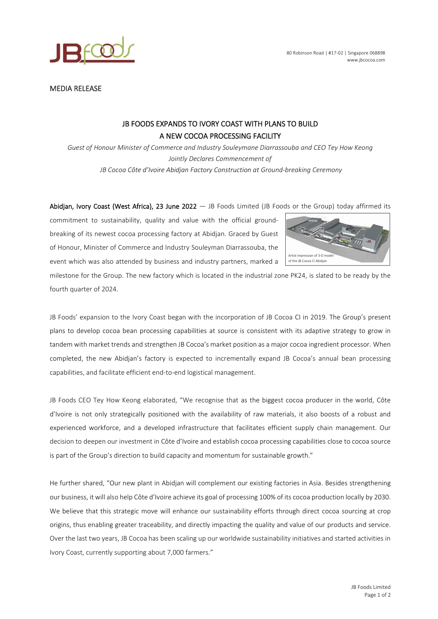



MEDIA RELEASE

## JB FOODS EXPANDS TO IVORY COAST WITH PLANS TO BUILD A NEW COCOA PROCESSING FACILITY

*Guest of Honour Minister of Commerce and Industry Souleymane Diarrassouba and CEO Tey How Keong Jointly Declares Commencement of JB Cocoa Côte d'Ivoire Abidjan Factory Construction at Ground-breaking Ceremony* 

Abidjan, Ivory Coast (West Africa), 23 June 2022  $-$  JB Foods Limited (JB Foods or the Group) today affirmed its

commitment to sustainability, quality and value with the official groundbreaking of its newest cocoa processing factory at Abidjan. Graced by Guest of Honour, Minister of Commerce and Industry Souleyman Diarrassouba, the event which was also attended by business and industry partners, marked a



milestone for the Group. The new factory which is located in the industrial zone PK24, is slated to be ready by the fourth quarter of 2024.

JB Foods' expansion to the Ivory Coast began with the incorporation of JB Cocoa CI in 2019. The Group's present plans to develop cocoa bean processing capabilities at source is consistent with its adaptive strategy to grow in tandem with market trends and strengthen JB Cocoa's market position as a major cocoa ingredient processor. When completed, the new Abidjan's factory is expected to incrementally expand JB Cocoa's annual bean processing capabilities, and facilitate efficient end-to-end logistical management.

JB Foods CEO Tey How Keong elaborated, "We recognise that as the biggest cocoa producer in the world, Côte d'Ivoire is not only strategically positioned with the availability of raw materials, it also boosts of a robust and experienced workforce, and a developed infrastructure that facilitates efficient supply chain management. Our decision to deepen our investment in Côte d'Ivoire and establish cocoa processing capabilities close to cocoa source is part of the Group's direction to build capacity and momentum for sustainable growth."

He further shared, "Our new plant in Abidjan will complement our existing factories in Asia. Besides strengthening our business, it will also help Côte d'Ivoire achieve its goal of processing 100% of its cocoa production locally by 2030. We believe that this strategic move will enhance our sustainability efforts through direct cocoa sourcing at crop origins, thus enabling greater traceability, and directly impacting the quality and value of our products and service. Over the last two years, JB Cocoa has been scaling up our worldwide sustainability initiatives and started activities in Ivory Coast, currently supporting about 7,000 farmers."